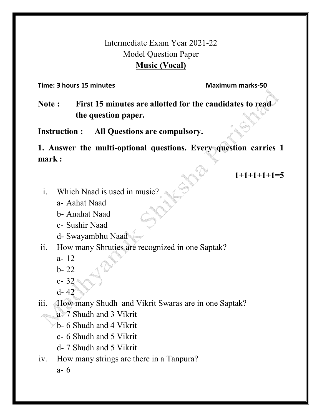## Intermediate Exam Year 2021-22 Model Question Paper **Music (Vocal)**

**Time: 3 hours 15 minutes Maximum marks-50** 

**Note : First 15 minutes are allotted for the candidates to read the question paper.**

**Instruction : All Questions are compulsory.**

**1. Answer the multi-optional questions. Every question carries 1 mark :**

**1+1+1+1+1=5**

- i. Which Naad is used in music?
	- a- Aahat Naad
	- b- Anahat Naad
	- c- Sushir Naad
	- d- Swayambhu Naad
- ii. How many Shruties are recognized in one Saptak?
	- a- 12
	- b- 22
	- c- 32
	- d- 42
- iii. How many Shudh and Vikrit Swaras are in one Saptak?
	- a- 7 Shudh and 3 Vikrit
	- b- 6 Shudh and 4 Vikrit
	- c- 6 Shudh and 5 Vikrit
	- d- 7 Shudh and 5 Vikrit
- iv. How many strings are there in a Tanpura?

a- 6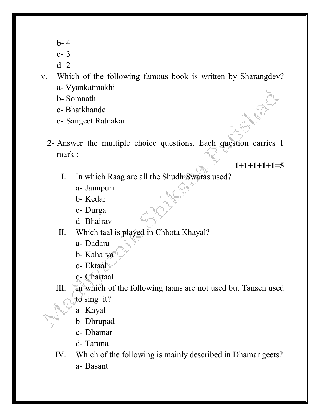- b- 4
- c- 3
- d- 2
- v. Which of the following famous book is written by Sharangdev? a- Vyankatmakhi
	- b- Somnath
	- c- Bhatkhande
	- e- Sangeet Ratnakar
	- 2- Answer the multiple choice questions. Each question carries 1 mark :

**1+1+1+1+1=5**

- I. In which Raag are all the Shudh Swaras used?
	- a- Jaunpuri
	- b- Kedar
	- c- Durga
	- d- Bhairav
- II. Which taal is played in Chhota Khayal?
	- a- Dadara
	- b- Kaharva
	- c- Ektaal
	- d- Chartaal
- III. In which of the following taans are not used but Tansen used to sing it?
	- a- Khyal
	- b- Dhrupad
	- c- Dhamar
	- d- Tarana
- IV. Which of the following is mainly described in Dhamar geets? a- Basant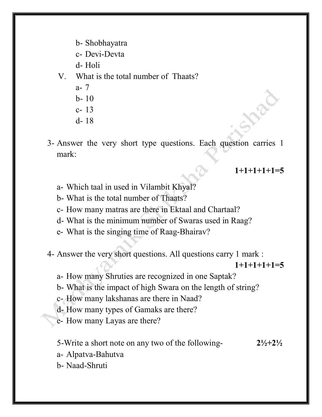- b- Shobhayatra
- c- Devi-Devta
- d- Holi
- V. What is the total number of Thaats?
	- a- 7 b- 10
	- c- 13
	- d- 18
- 3- Answer the very short type questions. Each question carries 1 mark:

## **1+1+1+1+1=5**

- a- Which taal in used in Vilambit Khyal?
- b- What is the total number of Thaats?
- c- How many matras are there in Ektaal and Chartaal?
- d- What is the minimum number of Swaras used in Raag?
- e- What is the singing time of Raag-Bhairav?
- 4- Answer the very short questions. All questions carry 1 mark :

**1+1+1+1+1=5**

- a- How many Shruties are recognized in one Saptak?
- b- What is the impact of high Swara on the length of string?
- c- How many lakshanas are there in Naad?
- d- How many types of Gamaks are there?
- e- How many Layas are there?
- 5-Write a short note on any two of the following- **2½+2½**
- a- Alpatva-Bahutva
- b- Naad-Shruti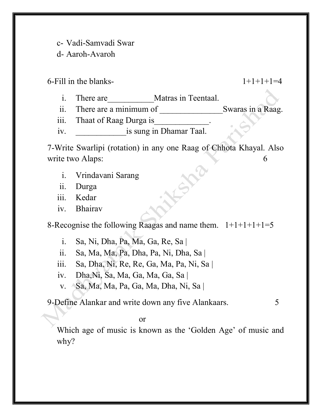c- Vadi-Samvadi Swar d- Aaroh-Avaroh

6-Fill in the blanks-  $1+1+1=4$ 

- i. There are **Matras in Teentaal.**
- ii. There are a minimum of Swaras in a Raag.
- iii. Thaat of Raag Durga is
- iv. **is sung in Dhamar Taal.**

7-Write Swarlipi (rotation) in any one Raag of Chhota Khayal. Also write two Alaps: 6

- i. Vrindavani Sarang
- ii. Durga
- iii. Kedar
- iv. Bhairav

8-Recognise the following Raagas and name them.  $1+1+1+1=5$ 

- i. Sa, Ni, Dha, Pa, Ma, Ga, Re, Sa |
- ii. Sa, Ma, Ma, Pa, Dha, Pa, Ni, Dha, Sa |
- iii. Sa, Dha, Ni, Re, Re, Ga, Ma, Pa, Ni, Sa |
- iv. Dha,Ni, Sa, Ma, Ga, Ma, Ga, Sa |
- v. Sa, Ma, Ma, Pa, Ga, Ma, Dha, Ni, Sa |

9-Define Alankar and write down any five Alankaars. 5

**or** or

Which age of music is known as the 'Golden Age' of music and why?